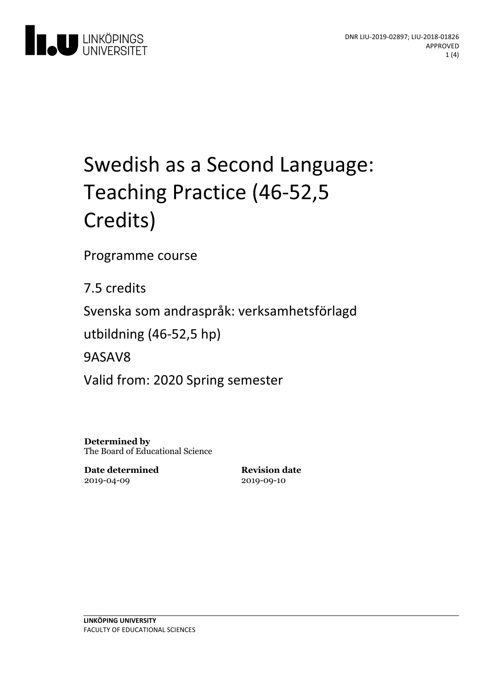



# Swedish as a Second Language: Teaching Practice (46-52,5 Credits)

Programme course

7.5 credits

Svenska som andraspråk: verksamhetsförlagd

utbildning(46-52,5 hp)

9ASAV8

Valid from: 2020 Spring semester

**Determined by** The Board of Educational Science

**Date determined** 2019-04-09

**Revision date** 2019-09-10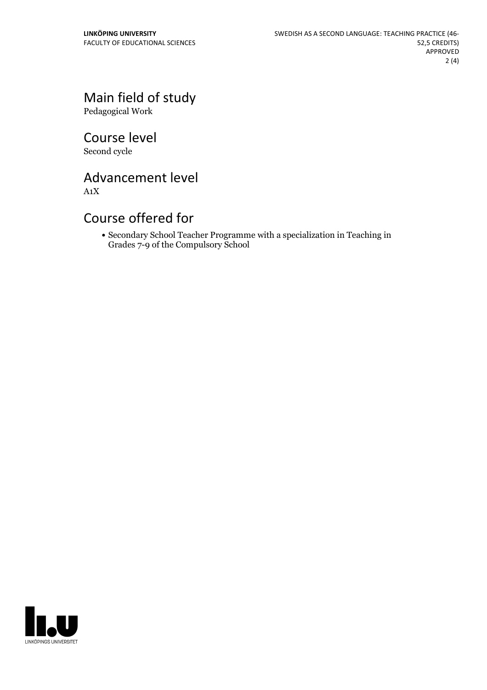# Main field of study

Pedagogical Work

Course level Second cycle

Advancement level

A1X

## Course offered for

Secondary School Teacher Programme with a specialization in Teaching in Grades 7-9 of the Compulsory School

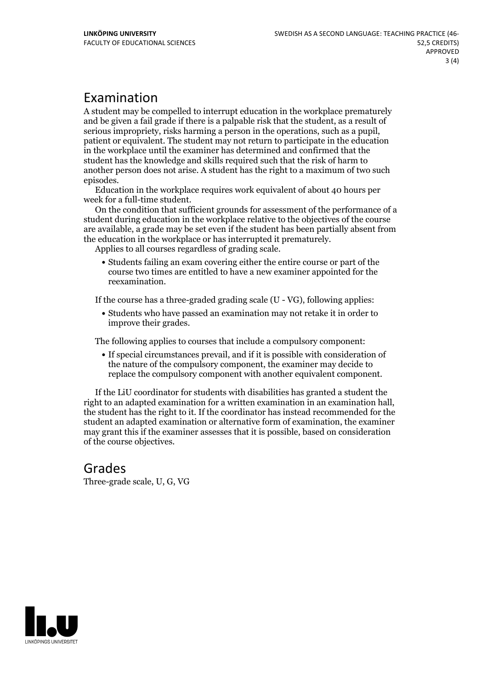### Examination

A student may be compelled to interrupt education in the workplace prematurely and be given a failgrade if there is a palpable risk that the student, as a result of serious impropriety, risks harming <sup>a</sup> person in the operations, such as <sup>a</sup> pupil, patient or equivalent. The student may not return to participate in the education in the workplace until the examiner has determined and confirmed that the student has the knowledge and skills required such that the risk of harm to another person does not arise. A student has the right to a maximum of two such

episodes. Education in the workplace requires work equivalent of about <sup>40</sup> hours per

week for <sup>a</sup> full-time student. On the condition that sufficient grounds for assessment of the performance of <sup>a</sup> student during education in the workplace relative to the objectives of the course are available, a grade may be set even if the student has been partially absent from the education in the workplace or has interrupted it prematurely. Applies to all courses regardless of grading scale.

Students failing an exam covering either the entire course or part of the course two times are entitled to have a new examiner appointed for the reexamination.

If the course has a three-graded grading scale (U - VG), following applies:

Students who have passed an examination may not retake it in order to improve their grades.

The following applies to courses that include a compulsory component:

If special circumstances prevail, and if it is possible with consideration of the nature of the compulsory component, the examiner may decide to replace the compulsory component with another equivalent component.

If the LiU coordinator for students with disabilities has granted a student the right to an adapted examination for <sup>a</sup> written examination in an examination hall, the student has the right to it. If the coordinator has instead recommended for the student an adapted examination or alternative form of examination, the examiner may grant this if the examiner assesses that it is possible, based on consideration of the course objectives.

# Grades

Three-grade scale, U, G, VG